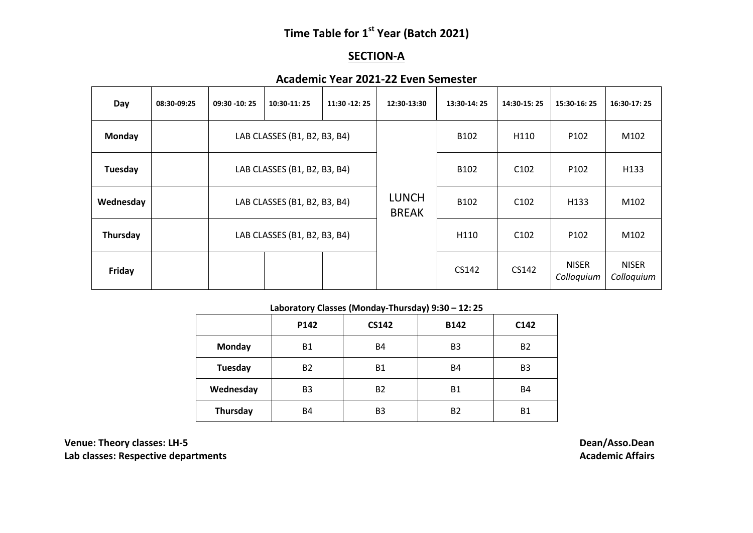# **Time Table for 1 st Year (Batch 2021)**

### **SECTION-A**

## **Academic Year 2021-22 Even Semester**

| Day       | 08:30-09:25 | $09:30 - 10:25$              | 10:30-11:25                  | 11:30 -12:25 | 12:30-13:30                  | 13:30-14:25      | 14:30-15:25      | 15:30-16:25                | 16:30-17:25                |
|-----------|-------------|------------------------------|------------------------------|--------------|------------------------------|------------------|------------------|----------------------------|----------------------------|
| Monday    |             |                              | LAB CLASSES (B1, B2, B3, B4) |              |                              | B <sub>102</sub> | H110             | P <sub>102</sub>           | M102                       |
| Tuesday   |             |                              | LAB CLASSES (B1, B2, B3, B4) |              |                              | B <sub>102</sub> | C <sub>102</sub> | P <sub>102</sub>           | H133                       |
| Wednesday |             | LAB CLASSES (B1, B2, B3, B4) |                              |              | <b>LUNCH</b><br><b>BREAK</b> | B <sub>102</sub> | C <sub>102</sub> | H <sub>133</sub>           | M102                       |
| Thursday  |             | LAB CLASSES (B1, B2, B3, B4) |                              |              | H110                         | C <sub>102</sub> | P <sub>102</sub> | M102                       |                            |
| Friday    |             |                              |                              |              |                              | CS142            | CS142            | <b>NISER</b><br>Colloquium | <b>NISER</b><br>Colloquium |

#### **Laboratory Classes (Monday-Thursday) 9:30 – 12: 25**

|           | P142           | <b>CS142</b>   | <b>B142</b>    | C <sub>142</sub> |
|-----------|----------------|----------------|----------------|------------------|
| Monday    | <b>B1</b>      | <b>B4</b>      | B <sub>3</sub> | <b>B2</b>        |
| Tuesday   | <b>B2</b>      | <b>B1</b>      | <b>B4</b>      | B <sub>3</sub>   |
| Wednesday | B <sub>3</sub> | <b>B2</b>      | <b>B1</b>      | <b>B4</b>        |
| Thursday  | <b>B4</b>      | B <sub>3</sub> | <b>B2</b>      | <b>B1</b>        |

**Venue: Theory classes: LH-5 Dean/Asso.Dean Lab classes: Respective departments**